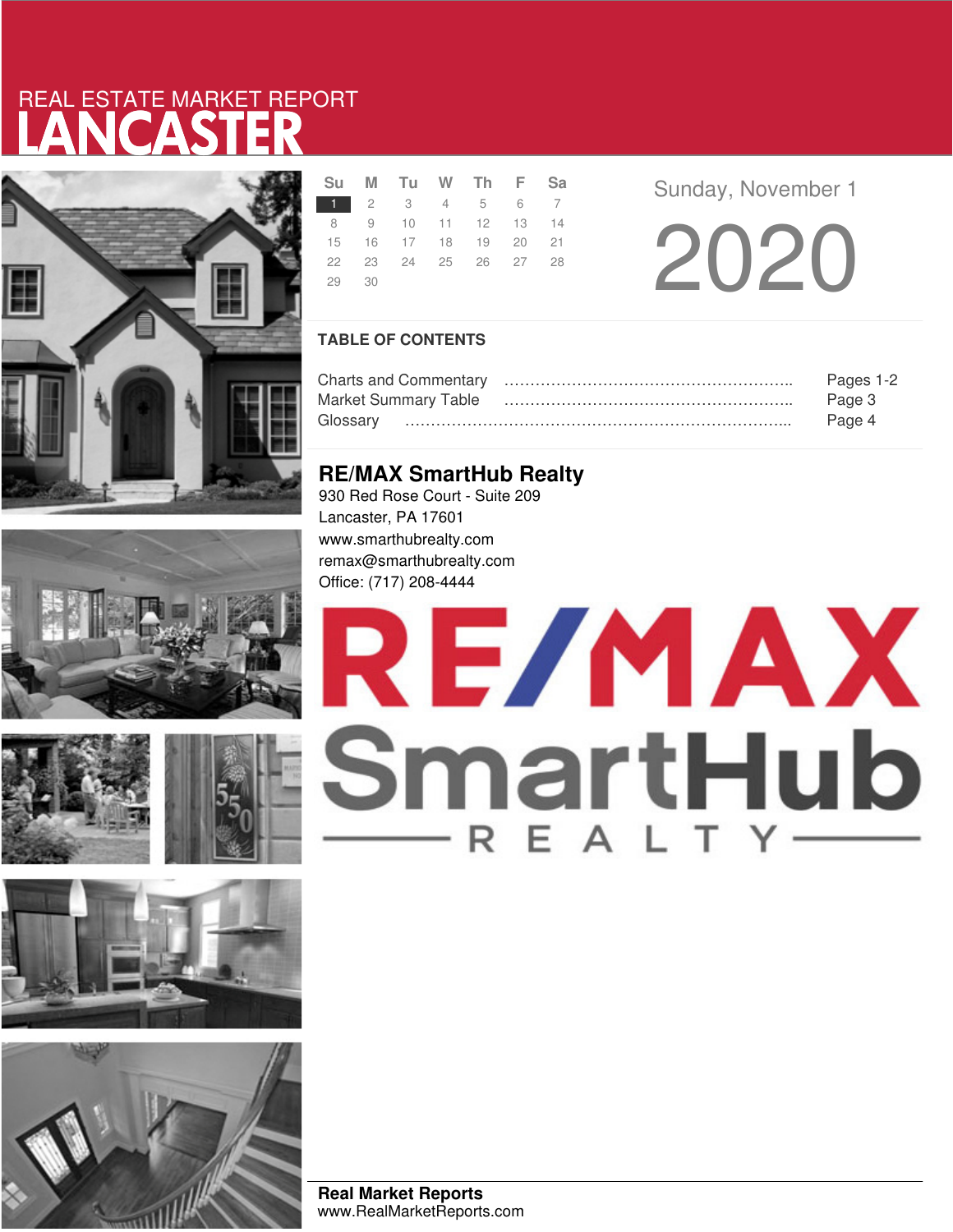# LANCASTER REAL ESTATE MARKET REPORT











|       |  | Su M Tu W Th F Sa    |  |
|-------|--|----------------------|--|
|       |  | 1 2 3 4 5 6 7        |  |
|       |  | 8 9 10 11 12 13 14   |  |
|       |  | 15 16 17 18 19 20 21 |  |
|       |  | 22 23 24 25 26 27 28 |  |
| 29 30 |  |                      |  |

**Sunday, November 1** 

20 20

## **TABLE OF CONTENTS**

|                             | Pages 1-2 |
|-----------------------------|-----------|
| <b>Market Summary Table</b> | Page 3    |
| Glossarv                    | Page 4    |

# **RE/MAX SmartHub Realty**

930 Red Rose Court - Suite 209 Lancaster, PA 17601 www.smarthubrealty.com remax@smarthubrealty.com Office: (717) 208-4444

# RE/MAX SmartHub

**Real Market Reports** www.RealMarketReports.com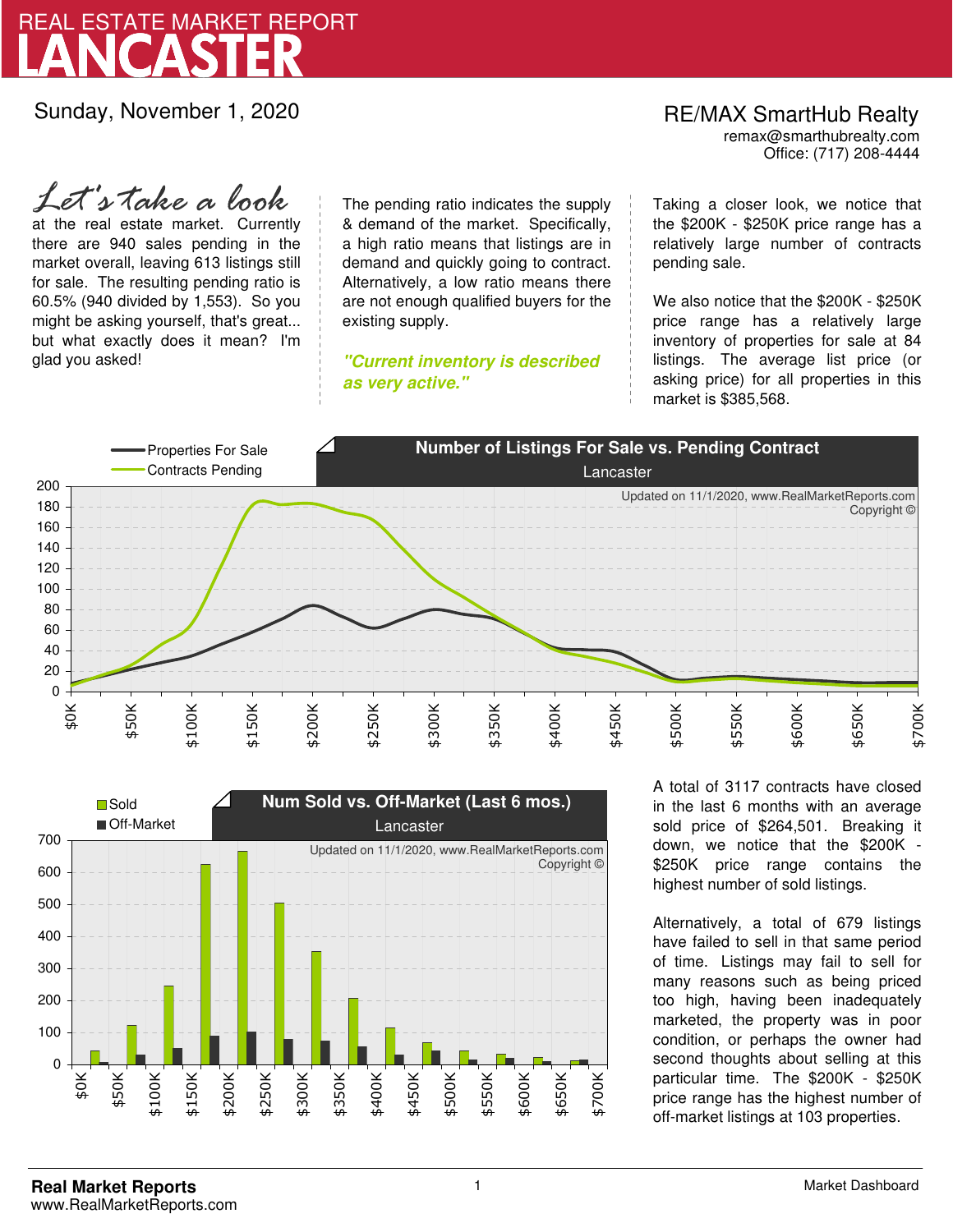

Sunday, November 1, 2020

at the real estate market. Currently there are 940 sales pending in the market overall, leaving 613 listings still for sale. The resulting pending ratio is 60.5% (940 divided by 1,553). So you might be asking yourself, that's great... but what exactly does it mean? I'm glad you asked! *Let's take a look*

The pending ratio indicates the supply & demand of the market. Specifically, a high ratio means that listings are in demand and quickly going to contract. Alternatively, a low ratio means there are not enough qualified buyers for the existing supply.

**"Current inventory is described as very active."**

Office: (717) 208-4444 RE/MAX SmartHub Realty remax@smarthubrealty.com

Taking a closer look, we notice that the \$200K - \$250K price range has a relatively large number of contracts pending sale.

We also notice that the \$200K - \$250K price range has a relatively large inventory of properties for sale at 84 listings. The average list price (or asking price) for all properties in this market is \$385,568.





A total of 3117 contracts have closed in the last 6 months with an average sold price of \$264,501. Breaking it down, we notice that the \$200K - \$250K price range contains the highest number of sold listings.

Alternatively, a total of 679 listings have failed to sell in that same period of time. Listings may fail to sell for many reasons such as being priced too high, having been inadequately marketed, the property was in poor condition, or perhaps the owner had second thoughts about selling at this particular time. The \$200K - \$250K price range has the highest number of off-market listings at 103 properties.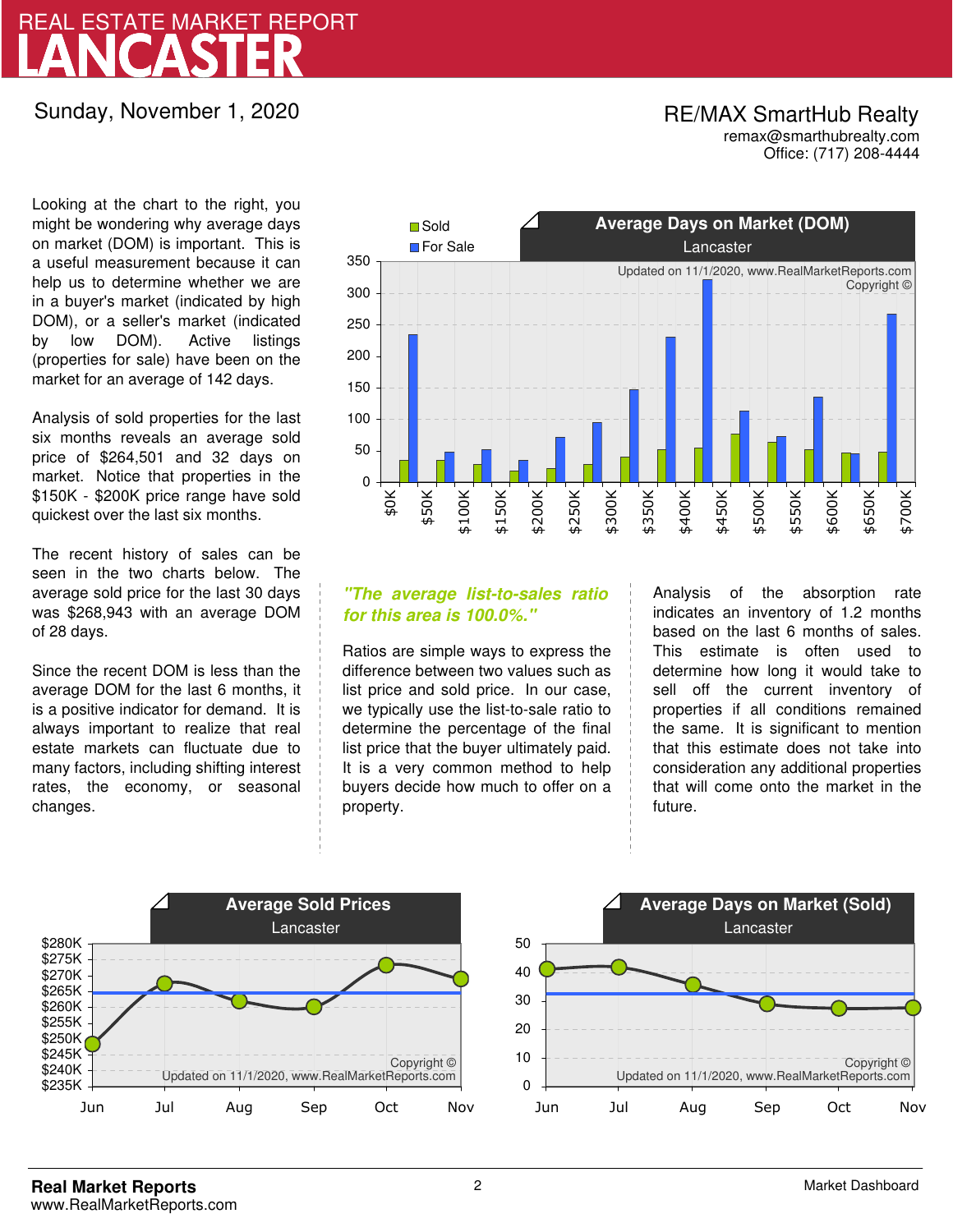# LANCASTER REAL ESTATE MARKET REPORT

Sunday, November 1, 2020

## RE/MAX SmartHub Realty remax@smarthubrealty.com

Office: (717) 208-4444

Looking at the chart to the right, you might be wondering why average days on market (DOM) is important. This is a useful measurement because it can help us to determine whether we are in a buyer's market (indicated by high DOM), or a seller's market (indicated by low DOM). Active listings (properties for sale) have been on the market for an average of 142 days.

Analysis of sold properties for the last six months reveals an average sold price of \$264,501 and 32 days on market. Notice that properties in the \$150K - \$200K price range have sold quickest over the last six months.

The recent history of sales can be seen in the two charts below. The average sold price for the last 30 days was \$268,943 with an average DOM of 28 days.

Since the recent DOM is less than the average DOM for the last 6 months, it is a positive indicator for demand. It is always important to realize that real estate markets can fluctuate due to many factors, including shifting interest rates, the economy, or seasonal changes.



## **"The average list-to-sales ratio for this area is 100.0%."**

Ratios are simple ways to express the difference between two values such as list price and sold price. In our case, we typically use the list-to-sale ratio to determine the percentage of the final list price that the buyer ultimately paid. It is a very common method to help buyers decide how much to offer on a property.

Analysis of the absorption rate indicates an inventory of 1.2 months based on the last 6 months of sales. This estimate is often used to determine how long it would take to sell off the current inventory of properties if all conditions remained the same. It is significant to mention that this estimate does not take into consideration any additional properties that will come onto the market in the future.



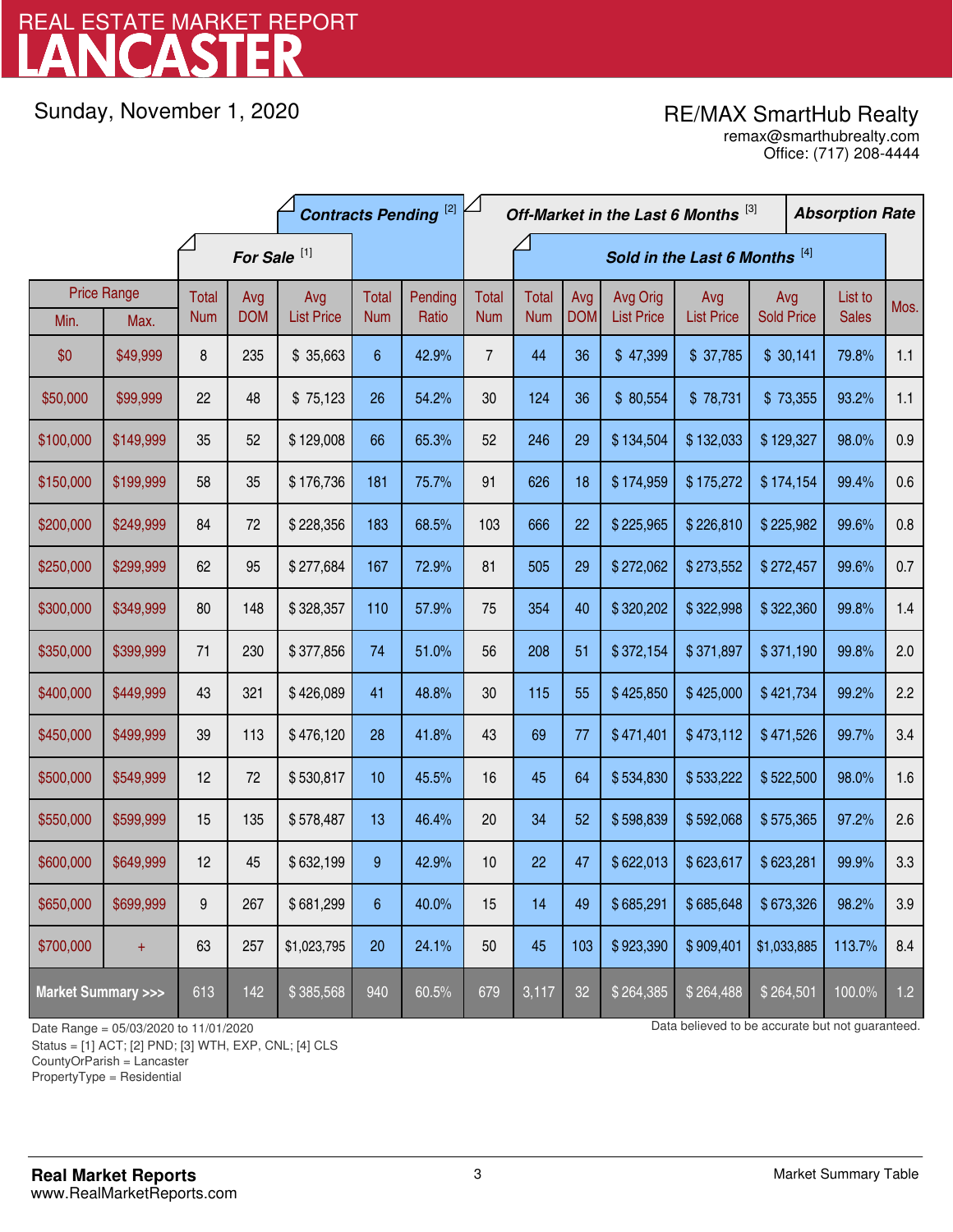# LANCASTER REAL ESTATE MARKET REPORT

Sunday, November 1, 2020

# RE/MAX SmartHub Realty

Office: (717) 208-4444 remax@smarthubrealty.com

|                                    |                    | <b>Contracts Pending [2]</b> |            |                   | Off-Market in the Last 6 Months [3] |         |                               |              |            | <b>Absorption Rate</b> |                   |                   |              |      |
|------------------------------------|--------------------|------------------------------|------------|-------------------|-------------------------------------|---------|-------------------------------|--------------|------------|------------------------|-------------------|-------------------|--------------|------|
|                                    |                    | For Sale <sup>[1]</sup>      |            |                   |                                     |         | Sold in the Last 6 Months [4] |              |            |                        |                   |                   |              |      |
|                                    | <b>Price Range</b> | Total                        | Avg        | Avg               | Total                               | Pending | <b>Total</b>                  | <b>Total</b> | Avg        | Avg Orig               | Avg               | Avg               | List to      | Mos. |
| Min.                               | Max.               | <b>Num</b>                   | <b>DOM</b> | <b>List Price</b> | <b>Num</b>                          | Ratio   | <b>Num</b>                    | <b>Num</b>   | <b>DOM</b> | <b>List Price</b>      | <b>List Price</b> | <b>Sold Price</b> | <b>Sales</b> |      |
| \$0                                | \$49,999           | 8                            | 235        | \$35,663          | 6                                   | 42.9%   | $\overline{7}$                | 44           | 36         | \$47,399               | \$37,785          | \$30,141          | 79.8%        | 1.1  |
| \$50,000                           | \$99,999           | 22                           | 48         | \$75,123          | 26                                  | 54.2%   | 30                            | 124          | 36         | \$80,554               | \$78,731          | \$73,355          | 93.2%        | 1.1  |
| \$100,000                          | \$149,999          | 35                           | 52         | \$129,008         | 66                                  | 65.3%   | 52                            | 246          | 29         | \$134,504              | \$132,033         | \$129,327         | 98.0%        | 0.9  |
| \$150,000                          | \$199,999          | 58                           | 35         | \$176,736         | 181                                 | 75.7%   | 91                            | 626          | 18         | \$174,959              | \$175,272         | \$174,154         | 99.4%        | 0.6  |
| \$200,000                          | \$249,999          | 84                           | 72         | \$228,356         | 183                                 | 68.5%   | 103                           | 666          | 22         | \$225,965              | \$226,810         | \$225,982         | 99.6%        | 0.8  |
| \$250,000                          | \$299,999          | 62                           | 95         | \$277,684         | 167                                 | 72.9%   | 81                            | 505          | 29         | \$272,062              | \$273,552         | \$272,457         | 99.6%        | 0.7  |
| \$300,000                          | \$349,999          | 80                           | 148        | \$328,357         | 110                                 | 57.9%   | 75                            | 354          | 40         | \$320,202              | \$322,998         | \$322,360         | 99.8%        | 1.4  |
| \$350,000                          | \$399,999          | 71                           | 230        | \$377,856         | 74                                  | 51.0%   | 56                            | 208          | 51         | \$372,154              | \$371,897         | \$371,190         | 99.8%        | 2.0  |
| \$400,000                          | \$449,999          | 43                           | 321        | \$426,089         | 41                                  | 48.8%   | 30                            | 115          | 55         | \$425,850              | \$425,000         | \$421,734         | 99.2%        | 2.2  |
| \$450,000                          | \$499,999          | 39                           | 113        | \$476,120         | 28                                  | 41.8%   | 43                            | 69           | 77         | \$471,401              | \$473,112         | \$471,526         | 99.7%        | 3.4  |
| \$500,000                          | \$549,999          | 12                           | 72         | \$530,817         | 10                                  | 45.5%   | 16                            | 45           | 64         | \$534,830              | \$533,222         | \$522,500         | 98.0%        | 1.6  |
| \$550,000                          | \$599,999          | 15                           | 135        | \$578,487         | 13                                  | 46.4%   | 20                            | 34           | 52         | \$598,839              | \$592,068         | \$575,365         | 97.2%        | 2.6  |
| \$600,000                          | \$649,999          | 12                           | 45         | \$632,199         | 9                                   | 42.9%   | 10                            | 22           | 47         | \$622,013              | \$623,617         | \$623,281         | 99.9%        | 3.3  |
| \$650,000                          | \$699,999          | 9                            | 267        | \$681,299         | 6                                   | 40.0%   | 15                            | 14           | 49         | \$685,291              | \$685,648         | \$673,326         | 98.2%        | 3.9  |
| \$700,000                          | $\ddot{}$          | 63                           | 257        | \$1,023,795       | 20                                  | 24.1%   | 50                            | 45           | 103        | \$923,390              | \$909,401         | \$1,033,885       | 113.7%       | 8.4  |
| <b>Market Summary &gt;&gt;&gt;</b> |                    | 613                          | 142        | \$385,568         | 940                                 | 60.5%   | 679                           | 3,117        | 32         | \$264,385              | \$264,488         | \$264,501         | 100.0%       | 1.2  |

Status = [1] ACT; [2] PND; [3] WTH, EXP, CNL; [4] CLS

CountyOrParish = Lancaster

PropertyType = Residential

1

Date Range = 05/03/2020 to 11/01/2020 **Data believed to be accurate but not guaranteed.**